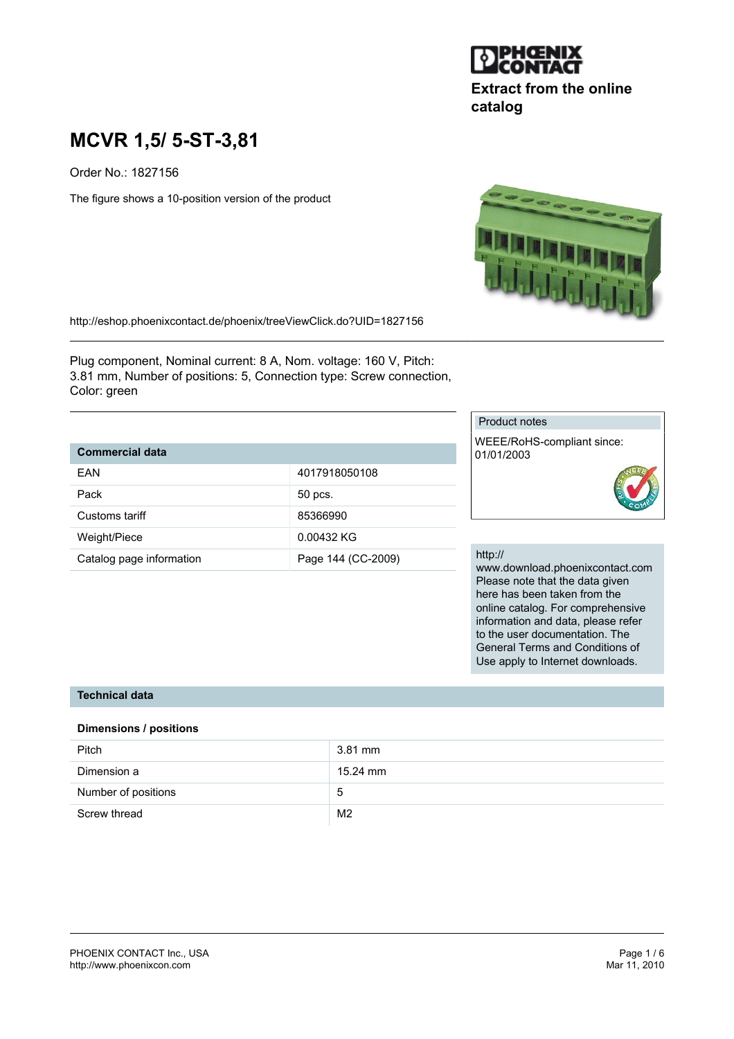

# **Extract from the online catalog**

# **MCVR 1,5/ 5-ST-3,81**

Order No.: 1827156

The figure shows a 10-position version of the product



http://eshop.phoenixcontact.de/phoenix/treeViewClick.do?UID=1827156

Plug component, Nominal current: 8 A, Nom. voltage: 160 V, Pitch: 3.81 mm, Number of positions: 5, Connection type: Screw connection, Color: green

# **Commercial data**

| FAN                      | 4017918050108      |
|--------------------------|--------------------|
| Pack                     | 50 pcs.            |
| Customs tariff           | 85366990           |
| Weight/Piece             | 0.00432 KG         |
| Catalog page information | Page 144 (CC-2009) |

#### Product notes

WEEE/RoHS-compliant since: 01/01/2003



#### http://

www.download.phoenixcontact.com Please note that the data given here has been taken from the online catalog. For comprehensive information and data, please refer to the user documentation. The General Terms and Conditions of Use apply to Internet downloads.

#### **Technical data**

#### **Dimensions / positions**

| Pitch               | 3.81 mm        |
|---------------------|----------------|
| Dimension a         | 15.24 mm       |
| Number of positions | 5              |
| Screw thread        | M <sub>2</sub> |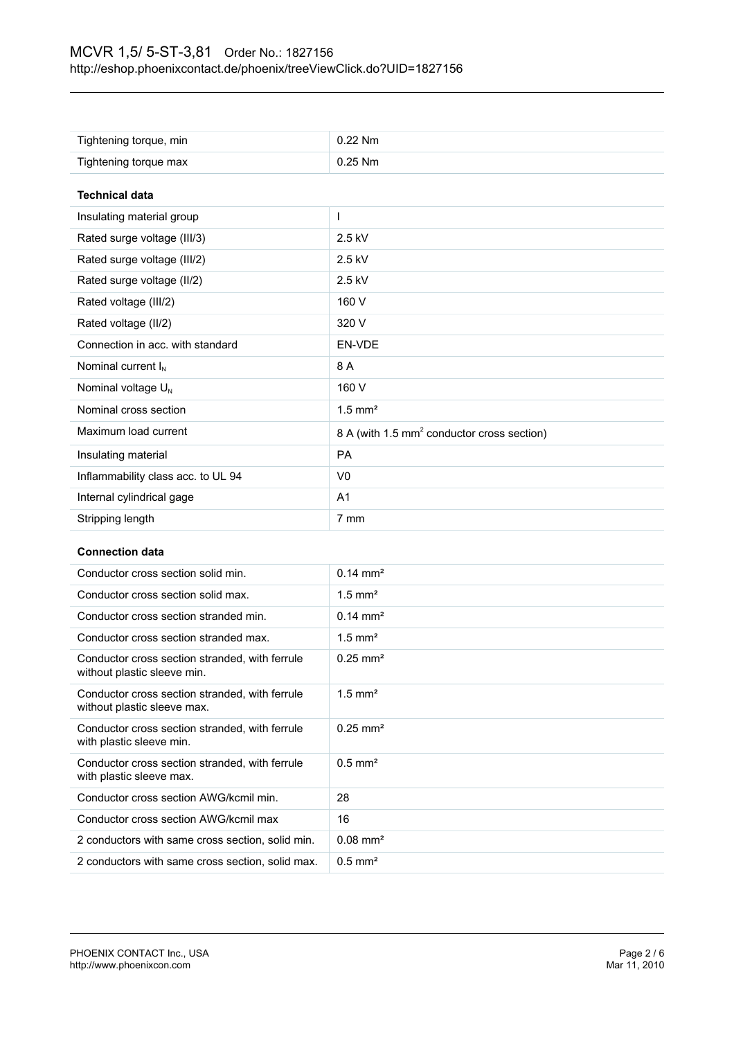| Tightening torque, min             | $0.22$ Nm                                              |
|------------------------------------|--------------------------------------------------------|
| Tightening torque max              | $0.25$ Nm                                              |
|                                    |                                                        |
| <b>Technical data</b>              |                                                        |
| Insulating material group          |                                                        |
| Rated surge voltage (III/3)        | $2.5$ kV                                               |
| Rated surge voltage (III/2)        | 2.5 kV                                                 |
| Rated surge voltage (II/2)         | 2.5 kV                                                 |
| Rated voltage (III/2)              | 160 V                                                  |
| Rated voltage (II/2)               | 320 V                                                  |
| Connection in acc. with standard   | EN-VDE                                                 |
| Nominal current $I_N$              | 8 A                                                    |
| Nominal voltage U <sub>N</sub>     | 160 V                                                  |
| Nominal cross section              | $1.5$ mm <sup>2</sup>                                  |
| Maximum load current               | 8 A (with 1.5 mm <sup>2</sup> conductor cross section) |
| Insulating material                | <b>PA</b>                                              |
| Inflammability class acc. to UL 94 | V <sub>0</sub>                                         |
| Internal cylindrical gage          | A <sub>1</sub>                                         |
| Stripping length                   | 7 mm                                                   |

#### **Connection data**

| Conductor cross section solid min.                                            | $0.14 \text{ mm}^2$    |
|-------------------------------------------------------------------------------|------------------------|
| Conductor cross section solid max.                                            | $1.5$ mm <sup>2</sup>  |
| Conductor cross section stranded min.                                         | $0.14 \text{ mm}^2$    |
| Conductor cross section stranded max.                                         | $1.5$ mm <sup>2</sup>  |
| Conductor cross section stranded, with ferrule<br>without plastic sleeve min. | $0.25 \text{ mm}^2$    |
| Conductor cross section stranded, with ferrule<br>without plastic sleeve max. | $1.5$ mm <sup>2</sup>  |
| Conductor cross section stranded, with ferrule<br>with plastic sleeve min.    | $0.25 \text{ mm}^2$    |
| Conductor cross section stranded, with ferrule<br>with plastic sleeve max.    | $0.5$ mm <sup>2</sup>  |
| Conductor cross section AWG/kcmil min.                                        | 28                     |
| Conductor cross section AWG/kcmil max                                         | 16                     |
| 2 conductors with same cross section, solid min.                              | $0.08$ mm <sup>2</sup> |
| 2 conductors with same cross section, solid max.                              | $0.5$ mm <sup>2</sup>  |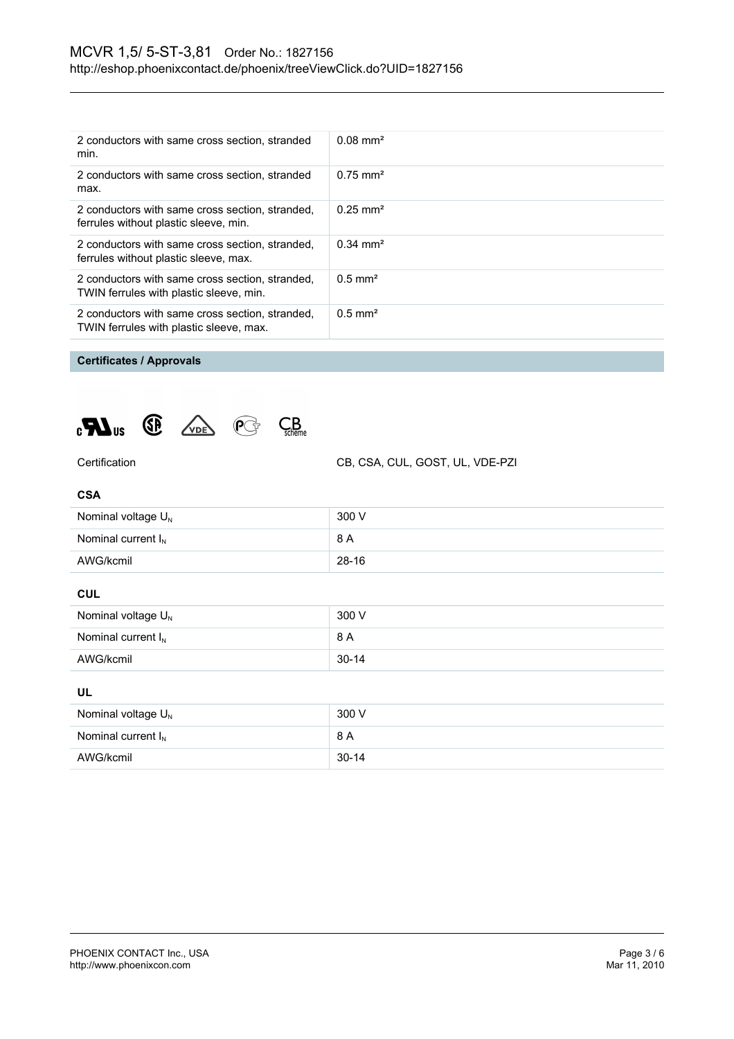| 2 conductors with same cross section, stranded<br>min.                                     | $0.08 \text{ mm}^2$   |
|--------------------------------------------------------------------------------------------|-----------------------|
| 2 conductors with same cross section, stranded<br>max.                                     | $0.75 \text{ mm}^2$   |
| 2 conductors with same cross section, stranded,<br>ferrules without plastic sleeve, min.   | $0.25 \text{ mm}^2$   |
| 2 conductors with same cross section, stranded,<br>ferrules without plastic sleeve, max.   | $0.34 \text{ mm}^2$   |
| 2 conductors with same cross section, stranded,<br>TWIN ferrules with plastic sleeve, min. | $0.5$ mm <sup>2</sup> |
| 2 conductors with same cross section, stranded,<br>TWIN ferrules with plastic sleeve, max. | $0.5$ mm <sup>2</sup> |
|                                                                                            |                       |

# **Certificates / Approvals**





Certification CB, CSA, CUL, GOST, UL, VDE-PZI

| Nominal voltage $U_N$   | 300 V   |
|-------------------------|---------|
| Nominal current $I_{N}$ | 8 A     |
| AWG/kcmil               | $28-16$ |

#### **CUL**

| Nominal voltage $U_{N}$ | 300 V     |
|-------------------------|-----------|
| Nominal current $I_N$   | 8 A       |
| AWG/kcmil               | $30 - 14$ |

## **UL**

| Nominal voltage $U_N$   | 300 V     |
|-------------------------|-----------|
| Nominal current $I_{N}$ | 8 A       |
| AWG/kcmil               | $30 - 14$ |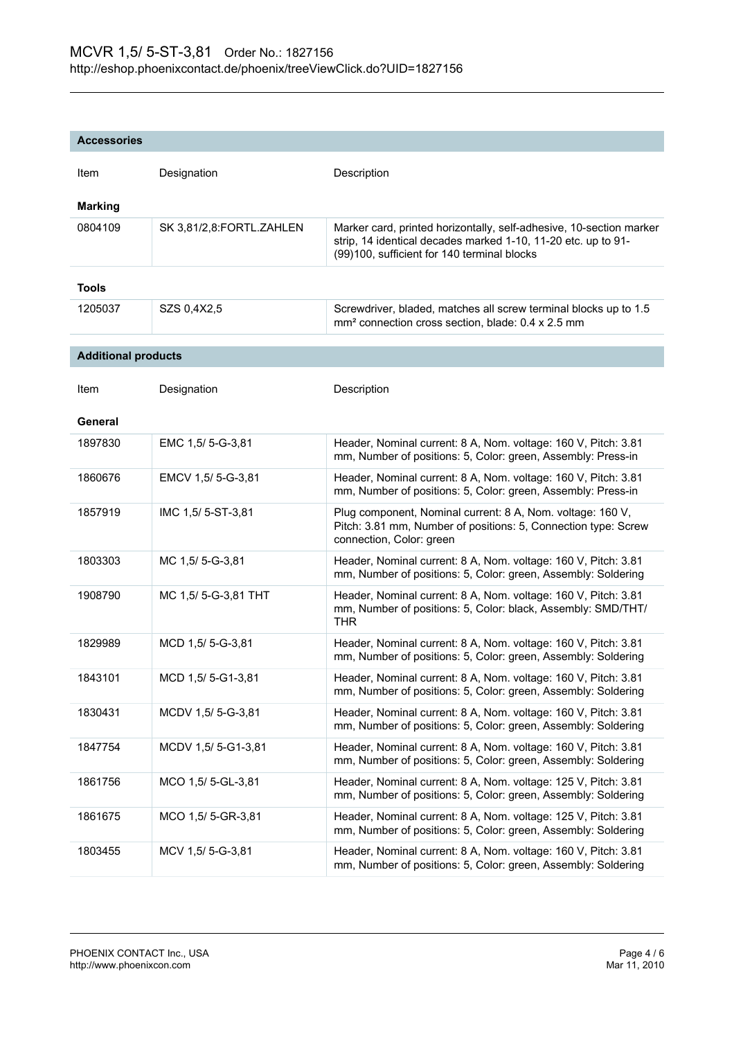| <b>Accessories</b>         |                          |                                                                                                                                                                                     |
|----------------------------|--------------------------|-------------------------------------------------------------------------------------------------------------------------------------------------------------------------------------|
| Item                       | Designation              | Description                                                                                                                                                                         |
| <b>Marking</b>             |                          |                                                                                                                                                                                     |
| 0804109                    | SK 3,81/2,8:FORTL.ZAHLEN | Marker card, printed horizontally, self-adhesive, 10-section marker<br>strip, 14 identical decades marked 1-10, 11-20 etc. up to 91-<br>(99)100, sufficient for 140 terminal blocks |
| Tools                      |                          |                                                                                                                                                                                     |
| 1205037                    | SZS 0,4X2,5              | Screwdriver, bladed, matches all screw terminal blocks up to 1.5<br>mm <sup>2</sup> connection cross section, blade: 0.4 x 2.5 mm                                                   |
| <b>Additional products</b> |                          |                                                                                                                                                                                     |
| Item                       | Designation              | Description                                                                                                                                                                         |
| General                    |                          |                                                                                                                                                                                     |
| 1897830                    | EMC 1,5/ 5-G-3,81        | Header, Nominal current: 8 A, Nom. voltage: 160 V, Pitch: 3.81<br>mm, Number of positions: 5, Color: green, Assembly: Press-in                                                      |
| 1860676                    | EMCV 1,5/ 5-G-3,81       | Header, Nominal current: 8 A, Nom. voltage: 160 V, Pitch: 3.81<br>mm, Number of positions: 5, Color: green, Assembly: Press-in                                                      |
| 1857919                    | IMC 1,5/5-ST-3,81        | Plug component, Nominal current: 8 A, Nom. voltage: 160 V,<br>Pitch: 3.81 mm, Number of positions: 5, Connection type: Screw<br>connection, Color: green                            |
| 1803303                    | MC 1,5/5--3,81           | Header, Nominal current: 8 A, Nom. voltage: 160 V, Pitch: 3.81<br>mm, Number of positions: 5, Color: green, Assembly: Soldering                                                     |
| 1908790                    | MC 1,5/5-G-3,81 THT      | Header, Nominal current: 8 A, Nom. voltage: 160 V, Pitch: 3.81<br>mm, Number of positions: 5, Color: black, Assembly: SMD/THT/<br><b>THR</b>                                        |
| 1829989                    | MCD 1,5/5-G-3,81         | Header, Nominal current: 8 A, Nom. voltage: 160 V, Pitch: 3.81<br>mm, Number of positions: 5, Color: green, Assembly: Soldering                                                     |
| 1843101                    | MCD 1,5/5-G1-3,81        | Header, Nominal current: 8 A, Nom. voltage: 160 V, Pitch: 3.81<br>mm, Number of positions: 5, Color: green, Assembly: Soldering                                                     |
| 1830431                    | MCDV 1,5/ 5-G-3,81       | Header, Nominal current: 8 A, Nom. voltage: 160 V, Pitch: 3.81<br>mm, Number of positions: 5, Color: green, Assembly: Soldering                                                     |
| 1847754                    | MCDV 1,5/5-G1-3,81       | Header, Nominal current: 8 A, Nom. voltage: 160 V, Pitch: 3.81<br>mm, Number of positions: 5, Color: green, Assembly: Soldering                                                     |
| 1861756                    | MCO 1,5/5-GL-3,81        | Header, Nominal current: 8 A, Nom. voltage: 125 V, Pitch: 3.81<br>mm, Number of positions: 5, Color: green, Assembly: Soldering                                                     |
| 1861675                    | MCO 1,5/5-GR-3,81        | Header, Nominal current: 8 A, Nom. voltage: 125 V, Pitch: 3.81<br>mm, Number of positions: 5, Color: green, Assembly: Soldering                                                     |
| 1803455                    | MCV 1,5/ 5-G-3,81        | Header, Nominal current: 8 A, Nom. voltage: 160 V, Pitch: 3.81<br>mm, Number of positions: 5, Color: green, Assembly: Soldering                                                     |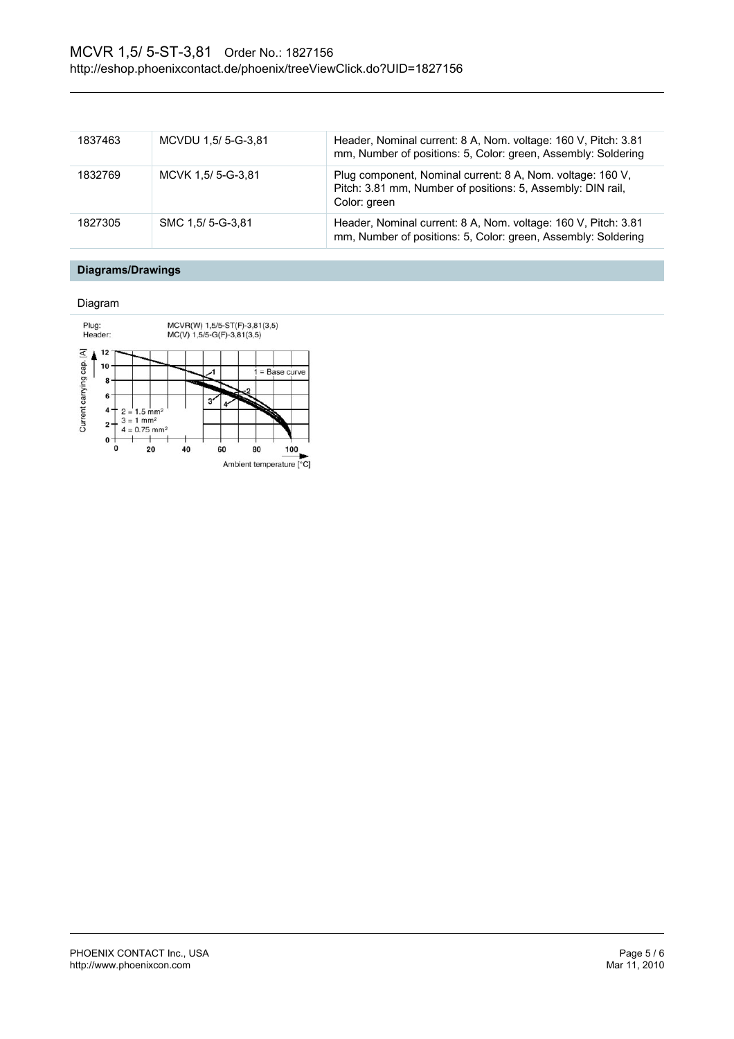| 1837463 | MCVDU 1,5/ 5-G-3,81 | Header, Nominal current: 8 A, Nom. voltage: 160 V, Pitch: 3.81<br>mm, Number of positions: 5, Color: green, Assembly: Soldering           |
|---------|---------------------|-------------------------------------------------------------------------------------------------------------------------------------------|
| 1832769 | MCVK 1.5/5-G-3.81   | Plug component, Nominal current: 8 A, Nom. voltage: 160 V,<br>Pitch: 3.81 mm, Number of positions: 5, Assembly: DIN rail,<br>Color: green |
| 1827305 | SMC 1.5/ 5-G-3.81   | Header, Nominal current: 8 A, Nom. voltage: 160 V, Pitch: 3.81<br>mm, Number of positions: 5, Color: green, Assembly: Soldering           |

# **Diagrams/Drawings**

Diagram